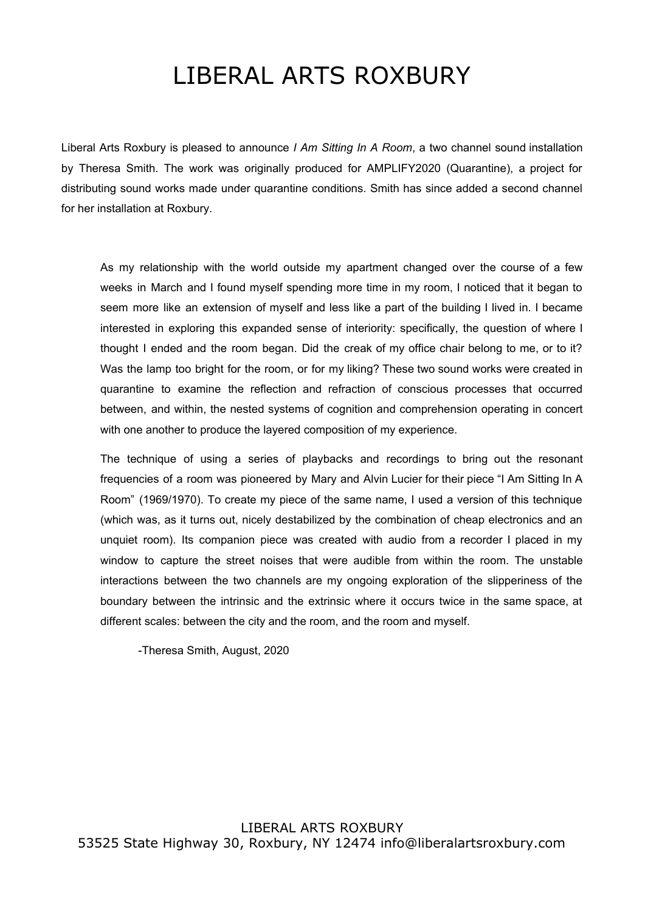## LIBERAL ARTS ROXBURY

Liberal Arts Roxbury is pleased to announce *I Am Sitting In A Room*, a two channel sound installation by Theresa Smith. The work was originally produced for AMPLIFY2020 (Quarantine), a project for distributing sound works made under quarantine conditions. Smith has since added a second channel for her installation at Roxbury.

As my relationship with the world outside my apartment changed over the course of a few weeks in March and I found myself spending more time in my room, I noticed that it began to seem more like an extension of myself and less like a part of the building I lived in. I became interested in exploring this expanded sense of interiority: specifically, the question of where I thought I ended and the room began. Did the creak of my office chair belong to me, or to it? Was the lamp too bright for the room, or for my liking? These two sound works were created in quarantine to examine the reflection and refraction of conscious processes that occurred between, and within, the nested systems of cognition and comprehension operating in concert with one another to produce the layered composition of my experience.

The technique of using a series of playbacks and recordings to bring out the resonant frequencies of a room was pioneered by Mary and Alvin Lucier for their piece "I Am Sitting In A Room" (1969/1970). To create my piece of the same name, I used a version of this technique (which was, as it turns out, nicely destabilized by the combination of cheap electronics and an unquiet room). Its companion piece was created with audio from a recorder I placed in my window to capture the street noises that were audible from within the room. The unstable interactions between the two channels are my ongoing exploration of the slipperiness of the boundary between the intrinsic and the extrinsic where it occurs twice in the same space, at different scales: between the city and the room, and the room and myself.

-Theresa Smith, August, 2020